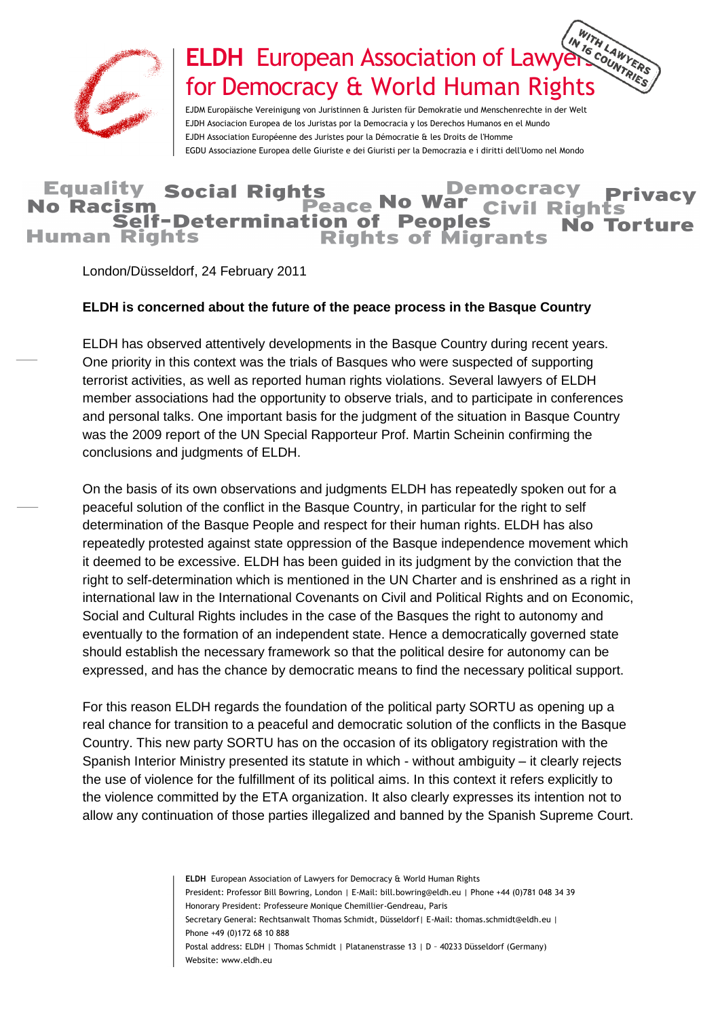

## **ELDH** European Association of Lawyers Countries for Democracy & World Human Rights

EJDM Europäische Vereinigung von Juristinnen & Juristen für Demokratie und Menschenrechte in der Welt EJDH Asociacion Europea de los Juristas por la Democracia y los Derechos Humanos en el Mundo EJDH Association Européenne des Juristes pour la Démocratie & les Droits de l'Homme EGDU Associazione Europea delle Giuriste e dei Giuristi per la Democrazia e i diritti dell'Uomo nel Mondo

## **Equality Social Rights Democracy** Peace No V **No Racism** vil Rights Self-Determination of **Peoples** No. **Human Rights Rights of Migrants**

London/Düsseldorf, 24 February 2011

## **ELDH is concerned about the future of the peace process in the Basque Country**

ELDH has observed attentively developments in the Basque Country during recent years. One priority in this context was the trials of Basques who were suspected of supporting terrorist activities, as well as reported human rights violations. Several lawyers of ELDH member associations had the opportunity to observe trials, and to participate in conferences and personal talks. One important basis for the judgment of the situation in Basque Country was the 2009 report of the UN Special Rapporteur Prof. Martin Scheinin confirming the conclusions and judgments of ELDH.

On the basis of its own observations and judgments ELDH has repeatedly spoken out for a peaceful solution of the conflict in the Basque Country, in particular for the right to self determination of the Basque People and respect for their human rights. ELDH has also repeatedly protested against state oppression of the Basque independence movement which it deemed to be excessive. ELDH has been guided in its judgment by the conviction that the right to self-determination which is mentioned in the UN Charter and is enshrined as a right in international law in the International Covenants on Civil and Political Rights and on Economic, Social and Cultural Rights includes in the case of the Basques the right to autonomy and eventually to the formation of an independent state. Hence a democratically governed state should establish the necessary framework so that the political desire for autonomy can be expressed, and has the chance by democratic means to find the necessary political support.

For this reason ELDH regards the foundation of the political party SORTU as opening up a real chance for transition to a peaceful and democratic solution of the conflicts in the Basque Country. This new party SORTU has on the occasion of its obligatory registration with the Spanish Interior Ministry presented its statute in which - without ambiguity – it clearly rejects the use of violence for the fulfillment of its political aims. In this context it refers explicitly to the violence committed by the ETA organization. It also clearly expresses its intention not to allow any continuation of those parties illegalized and banned by the Spanish Supreme Court.

> **ELDH** European Association of Lawyers for Democracy & World Human Rights President: Professor Bill Bowring, London | E-Mail: bill.bowring@eldh.eu | Phone +44 (0)781 048 34 39 Honorary President: Professeure Monique Chemillier-Gendreau, Paris Secretary General: Rechtsanwalt Thomas Schmidt, Düsseldorf| E-Mail: thomas.schmidt@eldh.eu | Phone +49 (0)172 68 10 888 Postal address: ELDH | Thomas Schmidt | Platanenstrasse 13 | D – 40233 Düsseldorf (Germany) Website: www.eldh.eu